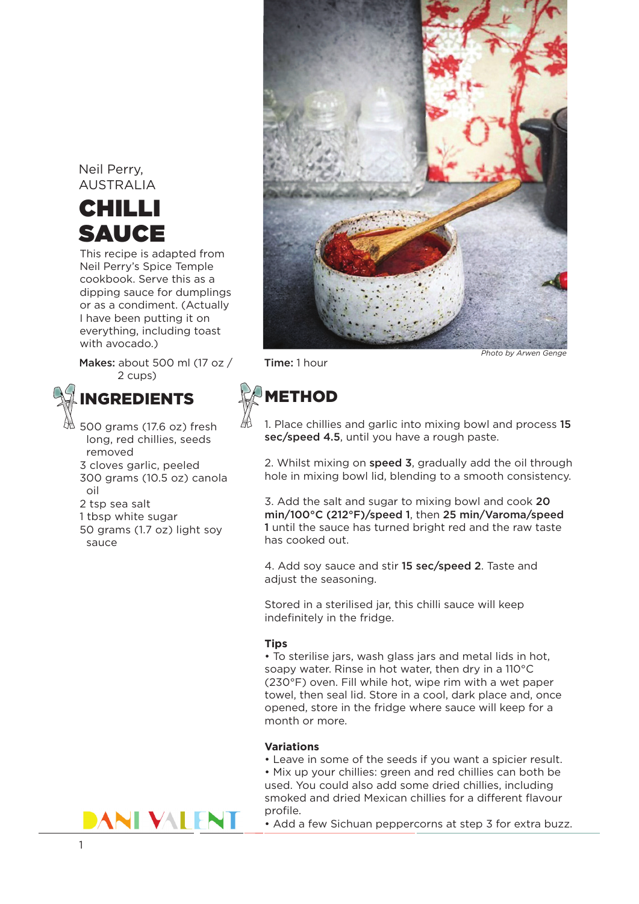### Neil Perry, AUSTRALIA

## CHILLI SAUCE

This recipe is adapted from Neil Perry's Spice Temple cookbook. Serve this as a dipping sauce for dumplings or as a condiment. (Actually I have been putting it on everything, including toast with avocado.)

Makes: about 500 ml (17 oz / Time: 1 hour 2 cups)



500 grams (17.6 oz) fresh long, red chillies, seeds removed 3 cloves garlic, peeled 300 grams (10.5 oz) canola oil 2 tsp sea salt 1 tbsp white sugar 50 grams (1.7 oz) light soy

sauce



# **METHOD**

1. Place chillies and garlic into mixing bowl and process 15 sec/speed 4.5, until you have a rough paste.

2. Whilst mixing on speed 3, gradually add the oil through hole in mixing bowl lid, blending to a smooth consistency.

3. Add the salt and sugar to mixing bowl and cook 20 min/100°C (212°F)/speed 1, then 25 min/Varoma/speed 1 until the sauce has turned bright red and the raw taste has cooked out.

4. Add soy sauce and stir 15 sec/speed 2. Taste and adjust the seasoning.

Stored in a sterilised jar, this chilli sauce will keep indefinitely in the fridge.

#### **Tips**

• To sterilise jars, wash glass jars and metal lids in hot, soapy water. Rinse in hot water, then dry in a 110°C (230°F) oven. Fill while hot, wipe rim with a wet paper towel, then seal lid. Store in a cool, dark place and, once opened, store in the fridge where sauce will keep for a month or more.

### **Variations**

• Leave in some of the seeds if you want a spicier result. • Mix up your chillies: green and red chillies can both be used. You could also add some dried chillies, including smoked and dried Mexican chillies for a different flavour profile.



• Add a few Sichuan peppercorns at step 3 for extra buzz.